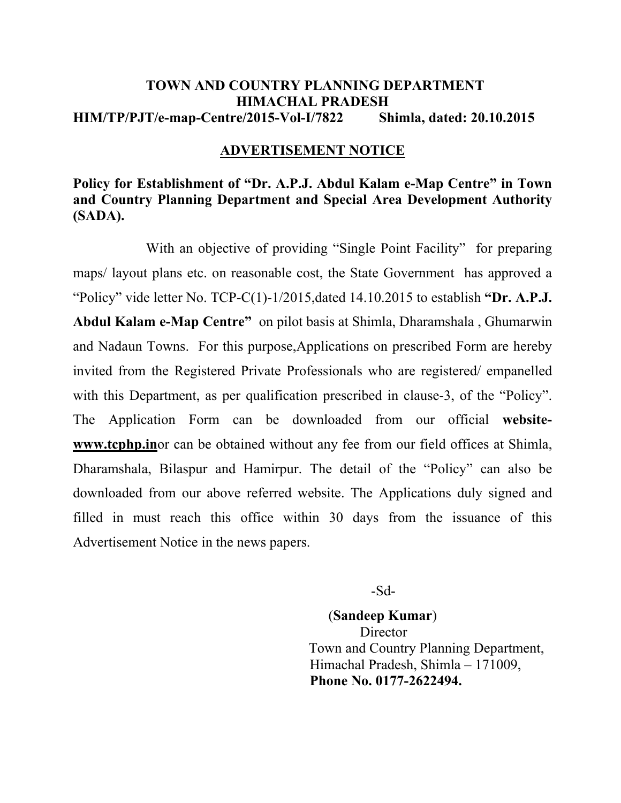### **TOWN AND COUNTRY PLANNING DEPARTMENT HIMACHAL PRADESH HIM/TP/PJT/e-map-Centre/2015-Vol-I/7822 Shimla, dated: 20.10.2015**

#### **ADVERTISEMENT NOTICE**

## **Policy for Establishment of "Dr. A.P.J. Abdul Kalam e-Map Centre" in Town and Country Planning Department and Special Area Development Authority (SADA).**

With an objective of providing "Single Point Facility" for preparing maps/ layout plans etc. on reasonable cost, the State Government has approved a "Policy" vide letter No. TCP-C(1)-1/2015,dated 14.10.2015 to establish **"Dr. A.P.J. Abdul Kalam e-Map Centre"** on pilot basis at Shimla, Dharamshala , Ghumarwin and Nadaun Towns. For this purpose,Applications on prescribed Form are hereby invited from the Registered Private Professionals who are registered/ empanelled with this Department, as per qualification prescribed in clause-3, of the "Policy". The Application Form can be downloaded from our official **websitewww.tcphp.in**or can be obtained without any fee from our field offices at Shimla, Dharamshala, Bilaspur and Hamirpur. The detail of the "Policy" can also be downloaded from our above referred website. The Applications duly signed and filled in must reach this office within 30 days from the issuance of this Advertisement Notice in the news papers.

-Sd-

(**Sandeep Kumar**) **Director**  Town and Country Planning Department, Himachal Pradesh, Shimla – 171009,  **Phone No. 0177-2622494.**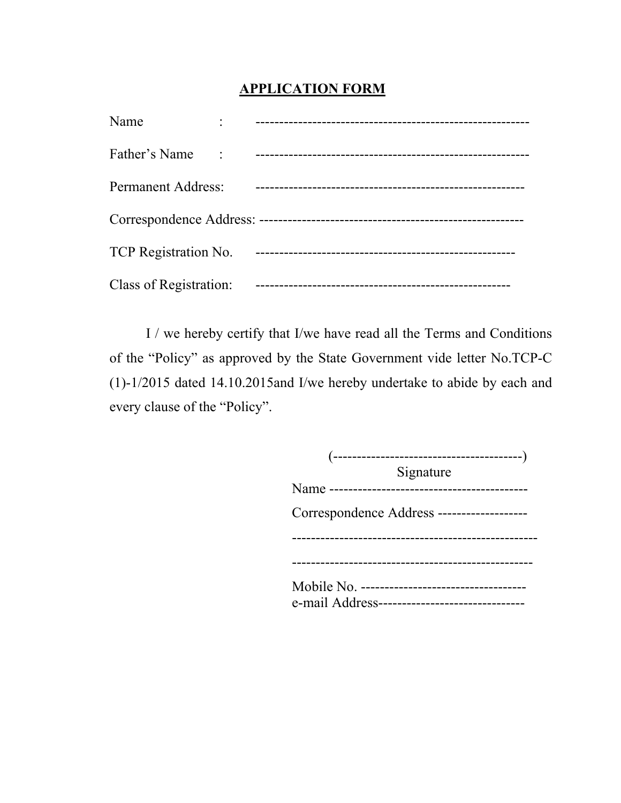# **APPLICATION FORM**

| Name                        |  |
|-----------------------------|--|
| Father's Name               |  |
| <b>Permanent Address:</b>   |  |
|                             |  |
| <b>TCP</b> Registration No. |  |
| Class of Registration:      |  |

I / we hereby certify that I/we have read all the Terms and Conditions of the "Policy" as approved by the State Government vide letter No.TCP-C (1)-1/2015 dated 14.10.2015and I/we hereby undertake to abide by each and every clause of the "Policy".

| Signature                                      |
|------------------------------------------------|
|                                                |
| Correspondence Address -------------------     |
|                                                |
|                                                |
| e-mail Address-------------------------------- |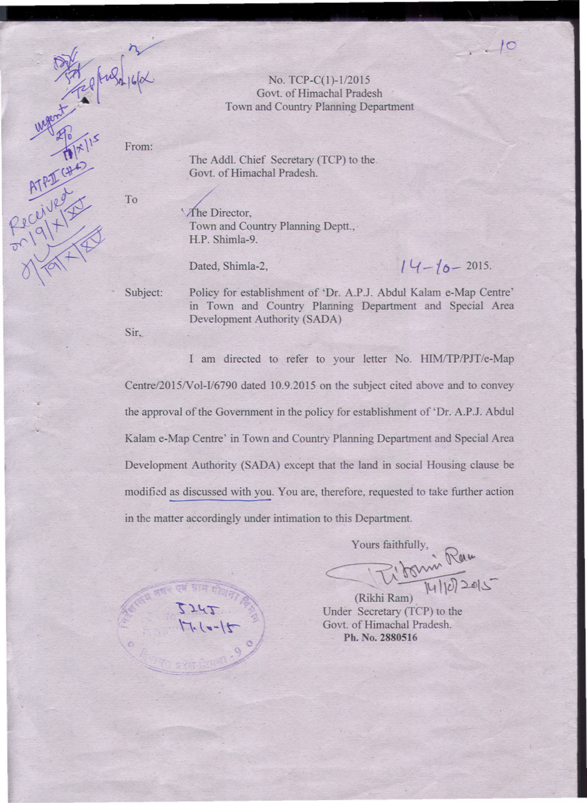No. TCP-C(1)-1/2015 Govt. of Himachal Pradesh Town and Country Planning Department

From:

The Addl. Chief Secretary (TCP) to the Govt. of Himachal Pradesh.

To

ATPICHA

The Director, Town and Country Planning Deptt., H.P. Shimla-9.

Dated, Shimla-2,

 $14 - 10 - 2015.$ 

 $10$ 

Subject:

Policy for establishment of 'Dr. A.P.J. Abdul Kalam e-Map Centre' in Town and Country Planning Department and Special Area Development Authority (SADA)

Sir,

I am directed to refer to your letter No. HIM/TP/PJT/e-Map Centre/2015/Vol-I/6790 dated 10.9.2015 on the subject cited above and to convey the approval of the Government in the policy for establishment of 'Dr. A.P.J. Abdul Kalam e-Map Centre' in Town and Country Planning Department and Special Area Development Authority (SADA) except that the land in social Housing clause be modified as discussed with you. You are, therefore, requested to take further action in the matter accordingly under intimation to this Department.

Yours faithfully 71 Janvie Raw

(Rikhi Ram) Under Secretary (TCP) to the Govt. of Himachal Pradesh. Ph. No. 2880516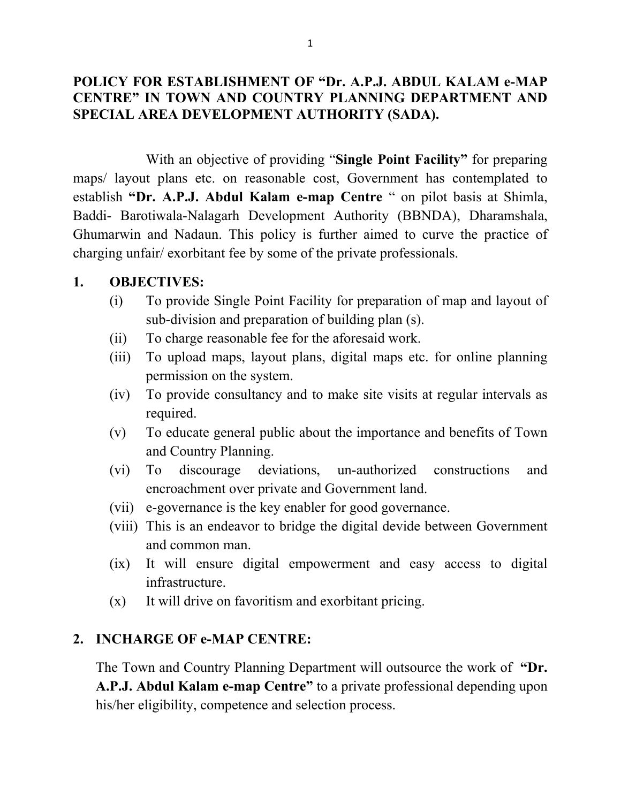### **POLICY FOR ESTABLISHMENT OF "Dr. A.P.J. ABDUL KALAM e-MAP CENTRE" IN TOWN AND COUNTRY PLANNING DEPARTMENT AND SPECIAL AREA DEVELOPMENT AUTHORITY (SADA).**

With an objective of providing "**Single Point Facility"** for preparing maps/ layout plans etc. on reasonable cost, Government has contemplated to establish **"Dr. A.P.J. Abdul Kalam e-map Centre** " on pilot basis at Shimla, Baddi- Barotiwala-Nalagarh Development Authority (BBNDA), Dharamshala, Ghumarwin and Nadaun. This policy is further aimed to curve the practice of charging unfair/ exorbitant fee by some of the private professionals.

### **1. OBJECTIVES:**

- (i) To provide Single Point Facility for preparation of map and layout of sub-division and preparation of building plan (s).
- (ii) To charge reasonable fee for the aforesaid work.
- (iii) To upload maps, layout plans, digital maps etc. for online planning permission on the system.
- (iv) To provide consultancy and to make site visits at regular intervals as required.
- (v) To educate general public about the importance and benefits of Town and Country Planning.
- (vi) To discourage deviations, un-authorized constructions and encroachment over private and Government land.
- (vii) e-governance is the key enabler for good governance.
- (viii) This is an endeavor to bridge the digital devide between Government and common man.
- (ix) It will ensure digital empowerment and easy access to digital infrastructure.
- (x) It will drive on favoritism and exorbitant pricing.

### **2. INCHARGE OF e-MAP CENTRE:**

The Town and Country Planning Department will outsource the work of **"Dr. A.P.J. Abdul Kalam e-map Centre"** to a private professional depending upon his/her eligibility, competence and selection process.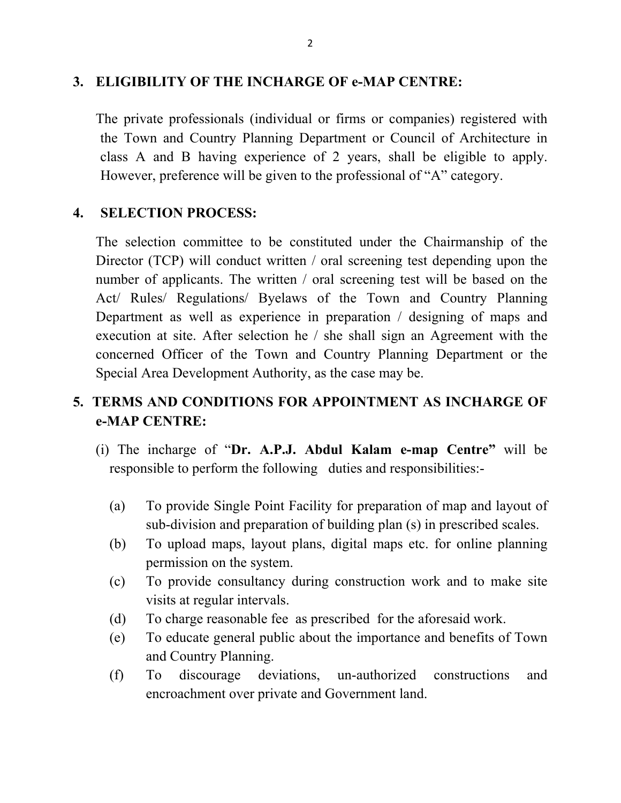### **3. ELIGIBILITY OF THE INCHARGE OF e-MAP CENTRE:**

The private professionals (individual or firms or companies) registered with the Town and Country Planning Department or Council of Architecture in class A and B having experience of 2 years, shall be eligible to apply. However, preference will be given to the professional of "A" category.

## **4. SELECTION PROCESS:**

The selection committee to be constituted under the Chairmanship of the Director (TCP) will conduct written / oral screening test depending upon the number of applicants. The written / oral screening test will be based on the Act/ Rules/ Regulations/ Byelaws of the Town and Country Planning Department as well as experience in preparation / designing of maps and execution at site. After selection he / she shall sign an Agreement with the concerned Officer of the Town and Country Planning Department or the Special Area Development Authority, as the case may be.

# **5. TERMS AND CONDITIONS FOR APPOINTMENT AS INCHARGE OF e-MAP CENTRE:**

- (i) The incharge of "**Dr. A.P.J. Abdul Kalam e-map Centre"** will be responsible to perform the following duties and responsibilities:-
	- (a) To provide Single Point Facility for preparation of map and layout of sub-division and preparation of building plan (s) in prescribed scales.
	- (b) To upload maps, layout plans, digital maps etc. for online planning permission on the system.
	- (c) To provide consultancy during construction work and to make site visits at regular intervals.
	- (d) To charge reasonable fee as prescribed for the aforesaid work.
	- (e) To educate general public about the importance and benefits of Town and Country Planning.
	- (f) To discourage deviations, un-authorized constructions and encroachment over private and Government land.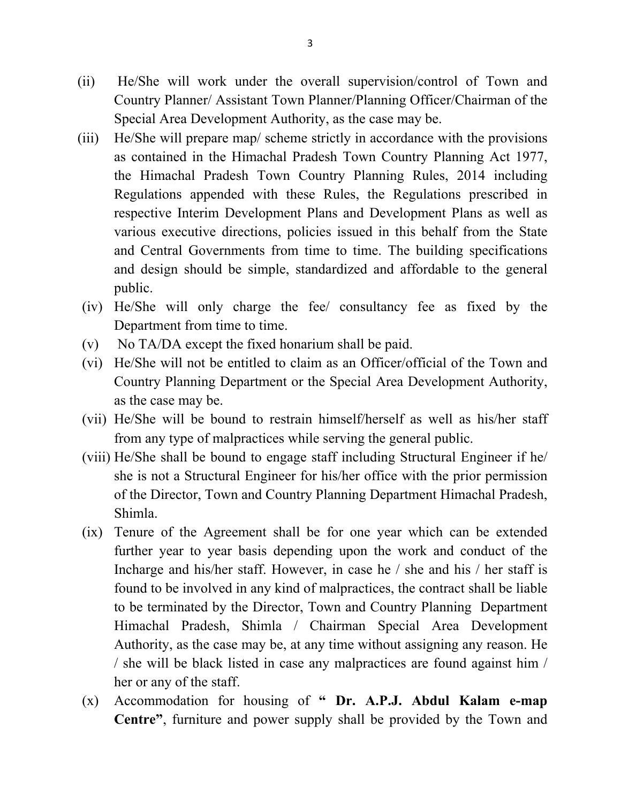- (ii) He/She will work under the overall supervision/control of Town and Country Planner/ Assistant Town Planner/Planning Officer/Chairman of the Special Area Development Authority, as the case may be.
- (iii) He/She will prepare map/ scheme strictly in accordance with the provisions as contained in the Himachal Pradesh Town Country Planning Act 1977, the Himachal Pradesh Town Country Planning Rules, 2014 including Regulations appended with these Rules, the Regulations prescribed in respective Interim Development Plans and Development Plans as well as various executive directions, policies issued in this behalf from the State and Central Governments from time to time. The building specifications and design should be simple, standardized and affordable to the general public.
- (iv) He/She will only charge the fee/ consultancy fee as fixed by the Department from time to time.
- (v) No TA/DA except the fixed honarium shall be paid.
- (vi) He/She will not be entitled to claim as an Officer/official of the Town and Country Planning Department or the Special Area Development Authority, as the case may be.
- (vii) He/She will be bound to restrain himself/herself as well as his/her staff from any type of malpractices while serving the general public.
- (viii) He/She shall be bound to engage staff including Structural Engineer if he/ she is not a Structural Engineer for his/her office with the prior permission of the Director, Town and Country Planning Department Himachal Pradesh, Shimla.
- (ix) Tenure of the Agreement shall be for one year which can be extended further year to year basis depending upon the work and conduct of the Incharge and his/her staff. However, in case he / she and his / her staff is found to be involved in any kind of malpractices, the contract shall be liable to be terminated by the Director, Town and Country Planning Department Himachal Pradesh, Shimla / Chairman Special Area Development Authority, as the case may be, at any time without assigning any reason. He / she will be black listed in case any malpractices are found against him / her or any of the staff.
- (x) Accommodation for housing of **" Dr. A.P.J. Abdul Kalam e-map Centre"**, furniture and power supply shall be provided by the Town and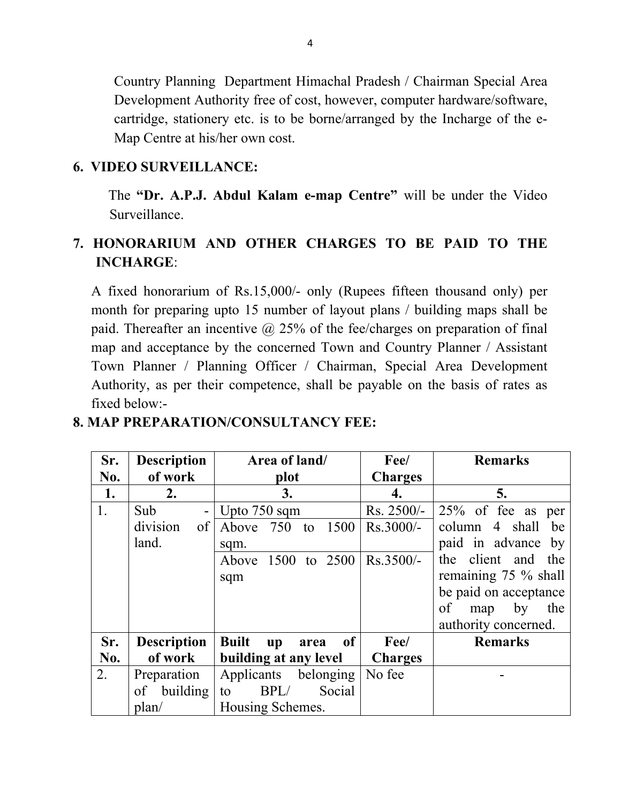Country Planning Department Himachal Pradesh / Chairman Special Area Development Authority free of cost, however, computer hardware/software, cartridge, stationery etc. is to be borne/arranged by the Incharge of the e-Map Centre at his/her own cost.

### **6. VIDEO SURVEILLANCE:**

 The **"Dr. A.P.J. Abdul Kalam e-map Centre"** will be under the Video Surveillance.

# **7. HONORARIUM AND OTHER CHARGES TO BE PAID TO THE INCHARGE**:

A fixed honorarium of Rs.15,000/- only (Rupees fifteen thousand only) per month for preparing upto 15 number of layout plans / building maps shall be paid. Thereafter an incentive  $\omega$  25% of the fee/charges on preparation of final map and acceptance by the concerned Town and Country Planner / Assistant Town Planner / Planning Officer / Chairman, Special Area Development Authority, as per their competence, shall be payable on the basis of rates as fixed below:-

| Sr. | <b>Description</b> | Area of land/                                        | Fee/           | <b>Remarks</b>          |
|-----|--------------------|------------------------------------------------------|----------------|-------------------------|
| No. | of work            | plot                                                 | <b>Charges</b> |                         |
| 1.  | 2.                 | 3.                                                   | 4.             | 5.                      |
| 1.  | Sub                | Upto 750 sqm                                         | Rs. 2500/-     | $25\%$ of fee as per    |
|     | division<br>of     | Above 750<br>1500<br>to                              | $Rs.3000/-$    | 4 shall<br>column<br>be |
|     | land.              | sqm.                                                 |                | paid in advance by      |
|     |                    | Above 1500 to 2500                                   | $Rs.3500/-$    | the client and the      |
|     |                    | sqm                                                  |                | remaining $75\%$ shall  |
|     |                    |                                                      |                | be paid on acceptance   |
|     |                    |                                                      |                | of<br>by<br>the<br>map  |
|     |                    |                                                      |                | authority concerned.    |
| Sr. | <b>Description</b> | of<br><b>Built</b><br>$\mathbf{u}\mathbf{p}$<br>area | Fee/           | <b>Remarks</b>          |
| No. | of work            | building at any level                                | <b>Charges</b> |                         |
| 2.  | Preparation        | Applicants belonging                                 | No fee         |                         |
|     | of building        | BPL/<br>Social<br>to                                 |                |                         |
|     | plan/              | Housing Schemes.                                     |                |                         |

## **8. MAP PREPARATION/CONSULTANCY FEE:**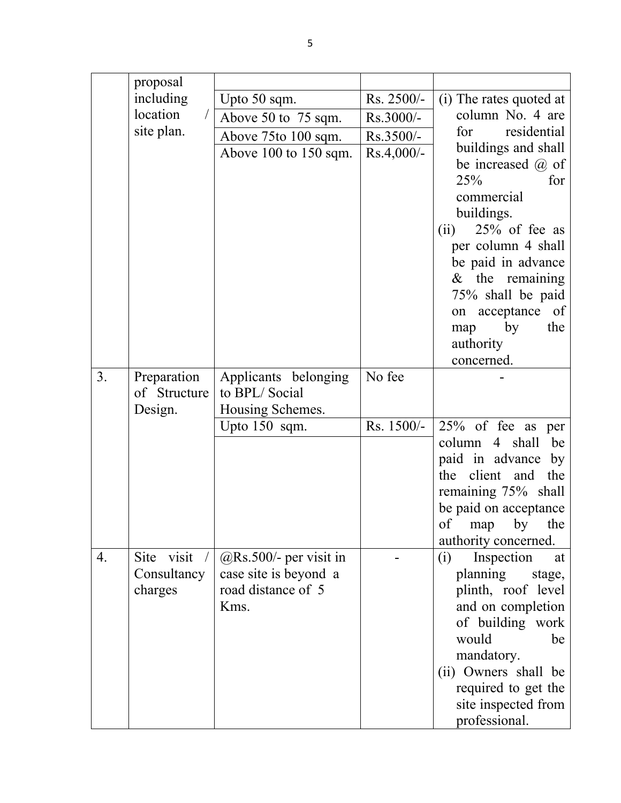|    | proposal     |                                             |              |                                       |
|----|--------------|---------------------------------------------|--------------|---------------------------------------|
|    | including    | Upto 50 sqm.                                | Rs. 2500/-   | (i) The rates quoted at               |
|    | location     | Above 50 to 75 sqm.                         | Rs.3000/-    | column No. 4 are                      |
|    | site plan.   | Above 75to 100 sqm.                         | Rs.3500/-    | residential<br>for                    |
|    |              | Above $100$ to $150$ sqm.                   | $Rs.4,000/-$ | buildings and shall                   |
|    |              |                                             |              | be increased $(a)$ of                 |
|    |              |                                             |              | 25%<br>for                            |
|    |              |                                             |              | commercial                            |
|    |              |                                             |              | buildings.                            |
|    |              |                                             |              | $25%$ of fee as<br>(ii)               |
|    |              |                                             |              | per column 4 shall                    |
|    |              |                                             |              | be paid in advance                    |
|    |              |                                             |              | $&$ the remaining                     |
|    |              |                                             |              | 75% shall be paid<br><sub>of</sub>    |
|    |              |                                             |              | on acceptance<br>the<br>by<br>map     |
|    |              |                                             |              | authority                             |
|    |              |                                             |              | concerned.                            |
| 3. | Preparation  | Applicants belonging                        | No fee       |                                       |
|    | of Structure | to BPL/Social                               |              |                                       |
|    | Design.      | Housing Schemes.                            |              |                                       |
|    |              | Upto 150 sqm.                               | Rs. 1500/-   | 25% of fee as per                     |
|    |              |                                             |              | 4 shall<br>column<br>be               |
|    |              |                                             |              | paid in advance<br>by                 |
|    |              |                                             |              | the client<br>and<br>the              |
|    |              |                                             |              | remaining 75% shall                   |
|    |              |                                             |              | be paid on acceptance                 |
|    |              |                                             |              | of map by the                         |
|    |              |                                             |              | authority concerned.                  |
| 4. | Site visit / | $@$ Rs.500/- per visit in                   |              | Inspection<br>(i)<br>at               |
|    | Consultancy  | case site is beyond a<br>road distance of 5 |              | planning<br>stage,                    |
|    | charges      | Kms.                                        |              | plinth, roof level                    |
|    |              |                                             |              | and on completion<br>of building work |
|    |              |                                             |              | would<br>be                           |
|    |              |                                             |              | mandatory.                            |
|    |              |                                             |              | (ii) Owners shall be                  |
|    |              |                                             |              | required to get the                   |
|    |              |                                             |              | site inspected from                   |
|    |              |                                             |              | professional.                         |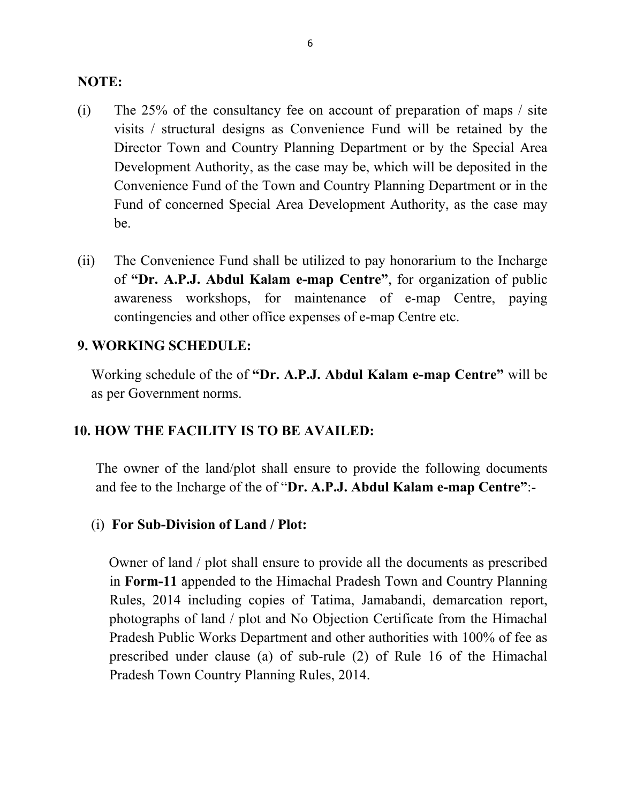### **NOTE:**

- (i) The 25% of the consultancy fee on account of preparation of maps / site visits / structural designs as Convenience Fund will be retained by the Director Town and Country Planning Department or by the Special Area Development Authority, as the case may be, which will be deposited in the Convenience Fund of the Town and Country Planning Department or in the Fund of concerned Special Area Development Authority, as the case may be.
- (ii) The Convenience Fund shall be utilized to pay honorarium to the Incharge of **"Dr. A.P.J. Abdul Kalam e-map Centre"**, for organization of public awareness workshops, for maintenance of e-map Centre, paying contingencies and other office expenses of e-map Centre etc.

### **9. WORKING SCHEDULE:**

Working schedule of the of **"Dr. A.P.J. Abdul Kalam e-map Centre"** will be as per Government norms.

## **10. HOW THE FACILITY IS TO BE AVAILED:**

The owner of the land/plot shall ensure to provide the following documents and fee to the Incharge of the of "**Dr. A.P.J. Abdul Kalam e-map Centre"**:-

### (i) **For Sub-Division of Land / Plot:**

 Owner of land / plot shall ensure to provide all the documents as prescribed in **Form-11** appended to the Himachal Pradesh Town and Country Planning Rules, 2014 including copies of Tatima, Jamabandi, demarcation report, photographs of land / plot and No Objection Certificate from the Himachal Pradesh Public Works Department and other authorities with 100% of fee as prescribed under clause (a) of sub-rule (2) of Rule 16 of the Himachal Pradesh Town Country Planning Rules, 2014.